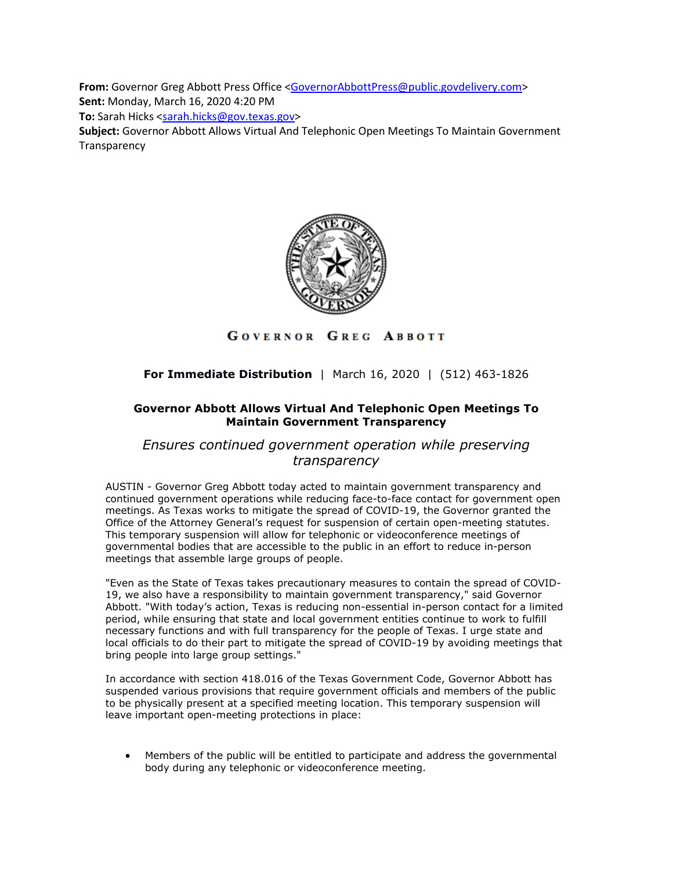**From:** Governor Greg Abbott Press Office [<GovernorAbbottPress@public.govdelivery.com>](mailto:GovernorAbbottPress@public.govdelivery.com) **Sent:** Monday, March 16, 2020 4:20 PM

**To:** Sarah Hicks [<sarah.hicks@gov.texas.gov>](mailto:sarah.hicks@gov.texas.gov)

**Subject:** Governor Abbott Allows Virtual And Telephonic Open Meetings To Maintain Government **Transparency** 



## GOVERNOR GREG ABBOTT

## **For Immediate Distribution** | March 16, 2020 | (512) 463-1826

## **Governor Abbott Allows Virtual And Telephonic Open Meetings To Maintain Government Transparency**

*Ensures continued government operation while preserving transparency*

AUSTIN - Governor Greg Abbott today acted to maintain government transparency and continued government operations while reducing face-to-face contact for government open meetings. As Texas works to mitigate the spread of COVID-19, the Governor granted the Office of the Attorney General's request for suspension of certain open-meeting statutes. This temporary suspension will allow for telephonic or videoconference meetings of governmental bodies that are accessible to the public in an effort to reduce in-person meetings that assemble large groups of people.

"Even as the State of Texas takes precautionary measures to contain the spread of COVID-19, we also have a responsibility to maintain government transparency," said Governor Abbott. "With today's action, Texas is reducing non-essential in-person contact for a limited period, while ensuring that state and local government entities continue to work to fulfill necessary functions and with full transparency for the people of Texas. I urge state and local officials to do their part to mitigate the spread of COVID-19 by avoiding meetings that bring people into large group settings."

In accordance with section 418.016 of the Texas Government Code, Governor Abbott has suspended various provisions that require government officials and members of the public to be physically present at a specified meeting location. This temporary suspension will leave important open-meeting protections in place:

• Members of the public will be entitled to participate and address the governmental body during any telephonic or videoconference meeting.